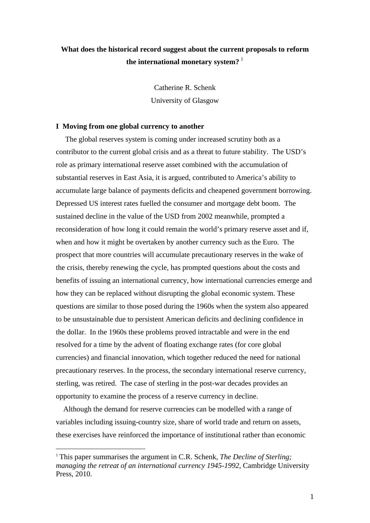## **What does the historical record suggest about the current proposals to reform the international monetary system?** [1](#page-0-0)

Catherine R. Schenk University of Glasgow

## **I Moving from one global currency to another**

 The global reserves system is coming under increased scrutiny both as a contributor to the current global crisis and as a threat to future stability. The USD's role as primary international reserve asset combined with the accumulation of substantial reserves in East Asia, it is argued, contributed to America's ability to accumulate large balance of payments deficits and cheapened government borrowing. Depressed US interest rates fuelled the consumer and mortgage debt boom. The sustained decline in the value of the USD from 2002 meanwhile, prompted a reconsideration of how long it could remain the world's primary reserve asset and if, when and how it might be overtaken by another currency such as the Euro. The prospect that more countries will accumulate precautionary reserves in the wake of the crisis, thereby renewing the cycle, has prompted questions about the costs and benefits of issuing an international currency, how international currencies emerge and how they can be replaced without disrupting the global economic system. These questions are similar to those posed during the 1960s when the system also appeared to be unsustainable due to persistent American deficits and declining confidence in the dollar. In the 1960s these problems proved intractable and were in the end resolved for a time by the advent of floating exchange rates (for core global currencies) and financial innovation, which together reduced the need for national precautionary reserves. In the process, the secondary international reserve currency, sterling, was retired. The case of sterling in the post-war decades provides an opportunity to examine the process of a reserve currency in decline.

 Although the demand for reserve currencies can be modelled with a range of variables including issuing-country size, share of world trade and return on assets, these exercises have reinforced the importance of institutional rather than economic

<u>.</u>

<span id="page-0-0"></span><sup>1</sup> This paper summarises the argument in C.R. Schenk, *The Decline of Sterling; managing the retreat of an international currency 1945-1992*, Cambridge University Press, 2010.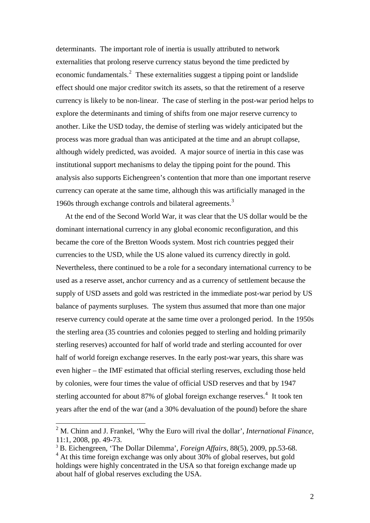determinants. The important role of inertia is usually attributed to network externalities that prolong reserve currency status beyond the time predicted by economic fundamentals.<sup>[2](#page-1-0)</sup> These externalities suggest a tipping point or landslide effect should one major creditor switch its assets, so that the retirement of a reserve currency is likely to be non-linear. The case of sterling in the post-war period helps to explore the determinants and timing of shifts from one major reserve currency to another. Like the USD today, the demise of sterling was widely anticipated but the process was more gradual than was anticipated at the time and an abrupt collapse, although widely predicted, was avoided. A major source of inertia in this case was institutional support mechanisms to delay the tipping point for the pound. This analysis also supports Eichengreen's contention that more than one important reserve currency can operate at the same time, although this was artificially managed in the 1960s through exchange controls and bilateral agreements.<sup>[3](#page-1-1)</sup>

 At the end of the Second World War, it was clear that the US dollar would be the dominant international currency in any global economic reconfiguration, and this became the core of the Bretton Woods system. Most rich countries pegged their currencies to the USD, while the US alone valued its currency directly in gold. Nevertheless, there continued to be a role for a secondary international currency to be used as a reserve asset, anchor currency and as a currency of settlement because the supply of USD assets and gold was restricted in the immediate post-war period by US balance of payments surpluses. The system thus assumed that more than one major reserve currency could operate at the same time over a prolonged period. In the 1950s the sterling area (35 countries and colonies pegged to sterling and holding primarily sterling reserves) accounted for half of world trade and sterling accounted for over half of world foreign exchange reserves. In the early post-war years, this share was even higher – the IMF estimated that official sterling reserves, excluding those held by colonies, were four times the value of official USD reserves and that by 1947 sterling accounted for about 87% of global foreign exchange reserves.<sup>[4](#page-1-2)</sup> It took ten years after the end of the war (and a 30% devaluation of the pound) before the share

<span id="page-1-0"></span><sup>2</sup> M. Chinn and J. Frankel, 'Why the Euro will rival the dollar', *International Finance*, 11:1, 2008, pp. 49-73.

<span id="page-1-1"></span><sup>3</sup> B. Eichengreen, 'The Dollar Dilemma', *Foreign Affairs,* 88(5), 2009, pp.53-68.

<span id="page-1-2"></span><sup>&</sup>lt;sup>4</sup> At this time foreign exchange was only about 30% of global reserves, but gold holdings were highly concentrated in the USA so that foreign exchange made up about half of global reserves excluding the USA.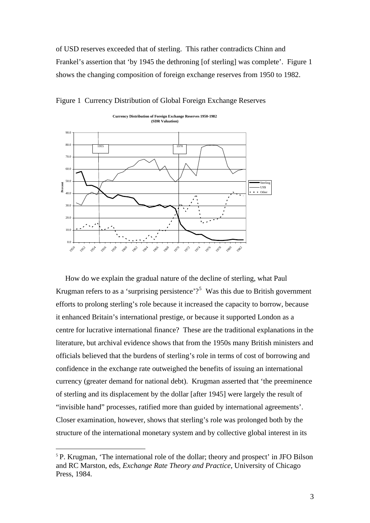of USD reserves exceeded that of sterling. This rather contradicts Chinn and Frankel's assertion that 'by 1945 the dethroning [of sterling] was complete'. Figure 1 shows the changing composition of foreign exchange reserves from 1950 to 1982.



Figure 1 Currency Distribution of Global Foreign Exchange Reserves

 How do we explain the gradual nature of the decline of sterling, what Paul Krugman refers to as a 'surprising persistence'?<sup>[5](#page-2-0)</sup> Was this due to British government efforts to prolong sterling's role because it increased the capacity to borrow, because it enhanced Britain's international prestige, or because it supported London as a centre for lucrative international finance? These are the traditional explanations in the literature, but archival evidence shows that from the 1950s many British ministers and officials believed that the burdens of sterling's role in terms of cost of borrowing and confidence in the exchange rate outweighed the benefits of issuing an international currency (greater demand for national debt). Krugman asserted that 'the preeminence of sterling and its displacement by the dollar [after 1945] were largely the result of "invisible hand" processes, ratified more than guided by international agreements'. Closer examination, however, shows that sterling's role was prolonged both by the structure of the international monetary system and by collective global interest in its

<u>.</u>

<span id="page-2-0"></span><sup>&</sup>lt;sup>5</sup> P. Krugman, 'The international role of the dollar; theory and prospect' in JFO Bilson and RC Marston, eds, *Exchange Rate Theory and Practice*, University of Chicago Press, 1984.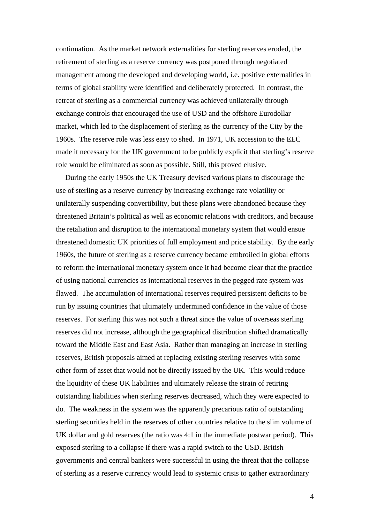continuation. As the market network externalities for sterling reserves eroded, the retirement of sterling as a reserve currency was postponed through negotiated management among the developed and developing world, i.e. positive externalities in terms of global stability were identified and deliberately protected. In contrast, the retreat of sterling as a commercial currency was achieved unilaterally through exchange controls that encouraged the use of USD and the offshore Eurodollar market, which led to the displacement of sterling as the currency of the City by the 1960s. The reserve role was less easy to shed. In 1971, UK accession to the EEC made it necessary for the UK government to be publicly explicit that sterling's reserve role would be eliminated as soon as possible. Still, this proved elusive.

 During the early 1950s the UK Treasury devised various plans to discourage the use of sterling as a reserve currency by increasing exchange rate volatility or unilaterally suspending convertibility, but these plans were abandoned because they threatened Britain's political as well as economic relations with creditors, and because the retaliation and disruption to the international monetary system that would ensue threatened domestic UK priorities of full employment and price stability. By the early 1960s, the future of sterling as a reserve currency became embroiled in global efforts to reform the international monetary system once it had become clear that the practice of using national currencies as international reserves in the pegged rate system was flawed. The accumulation of international reserves required persistent deficits to be run by issuing countries that ultimately undermined confidence in the value of those reserves. For sterling this was not such a threat since the value of overseas sterling reserves did not increase, although the geographical distribution shifted dramatically toward the Middle East and East Asia. Rather than managing an increase in sterling reserves, British proposals aimed at replacing existing sterling reserves with some other form of asset that would not be directly issued by the UK. This would reduce the liquidity of these UK liabilities and ultimately release the strain of retiring outstanding liabilities when sterling reserves decreased, which they were expected to do. The weakness in the system was the apparently precarious ratio of outstanding sterling securities held in the reserves of other countries relative to the slim volume of UK dollar and gold reserves (the ratio was 4:1 in the immediate postwar period). This exposed sterling to a collapse if there was a rapid switch to the USD. British governments and central bankers were successful in using the threat that the collapse of sterling as a reserve currency would lead to systemic crisis to gather extraordinary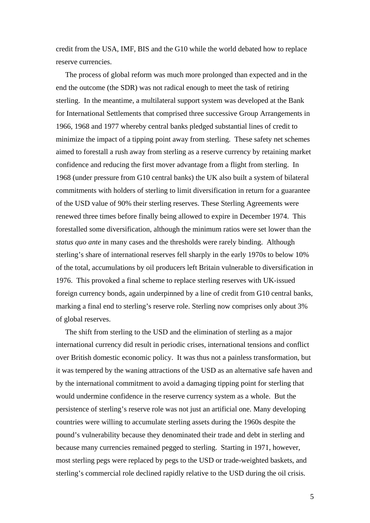credit from the USA, IMF, BIS and the G10 while the world debated how to replace reserve currencies.

 The process of global reform was much more prolonged than expected and in the end the outcome (the SDR) was not radical enough to meet the task of retiring sterling. In the meantime, a multilateral support system was developed at the Bank for International Settlements that comprised three successive Group Arrangements in 1966, 1968 and 1977 whereby central banks pledged substantial lines of credit to minimize the impact of a tipping point away from sterling. These safety net schemes aimed to forestall a rush away from sterling as a reserve currency by retaining market confidence and reducing the first mover advantage from a flight from sterling. In 1968 (under pressure from G10 central banks) the UK also built a system of bilateral commitments with holders of sterling to limit diversification in return for a guarantee of the USD value of 90% their sterling reserves. These Sterling Agreements were renewed three times before finally being allowed to expire in December 1974. This forestalled some diversification, although the minimum ratios were set lower than the *status quo ante* in many cases and the thresholds were rarely binding. Although sterling's share of international reserves fell sharply in the early 1970s to below 10% of the total, accumulations by oil producers left Britain vulnerable to diversification in 1976. This provoked a final scheme to replace sterling reserves with UK-issued foreign currency bonds, again underpinned by a line of credit from G10 central banks, marking a final end to sterling's reserve role. Sterling now comprises only about 3% of global reserves.

 The shift from sterling to the USD and the elimination of sterling as a major international currency did result in periodic crises, international tensions and conflict over British domestic economic policy. It was thus not a painless transformation, but it was tempered by the waning attractions of the USD as an alternative safe haven and by the international commitment to avoid a damaging tipping point for sterling that would undermine confidence in the reserve currency system as a whole. But the persistence of sterling's reserve role was not just an artificial one. Many developing countries were willing to accumulate sterling assets during the 1960s despite the pound's vulnerability because they denominated their trade and debt in sterling and because many currencies remained pegged to sterling. Starting in 1971, however, most sterling pegs were replaced by pegs to the USD or trade-weighted baskets, and sterling's commercial role declined rapidly relative to the USD during the oil crisis.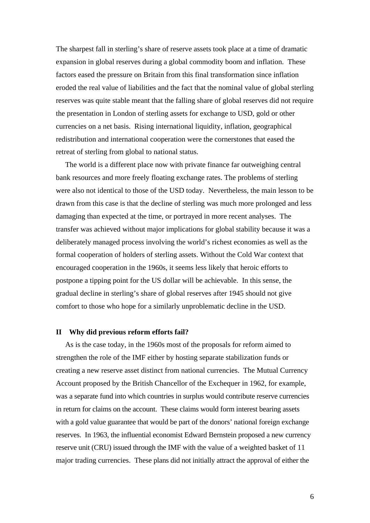The sharpest fall in sterling's share of reserve assets took place at a time of dramatic expansion in global reserves during a global commodity boom and inflation. These factors eased the pressure on Britain from this final transformation since inflation eroded the real value of liabilities and the fact that the nominal value of global sterling reserves was quite stable meant that the falling share of global reserves did not require the presentation in London of sterling assets for exchange to USD, gold or other currencies on a net basis. Rising international liquidity, inflation, geographical redistribution and international cooperation were the cornerstones that eased the retreat of sterling from global to national status.

 The world is a different place now with private finance far outweighing central bank resources and more freely floating exchange rates. The problems of sterling were also not identical to those of the USD today. Nevertheless, the main lesson to be drawn from this case is that the decline of sterling was much more prolonged and less damaging than expected at the time, or portrayed in more recent analyses. The transfer was achieved without major implications for global stability because it was a deliberately managed process involving the world's richest economies as well as the formal cooperation of holders of sterling assets. Without the Cold War context that encouraged cooperation in the 1960s, it seems less likely that heroic efforts to postpone a tipping point for the US dollar will be achievable. In this sense, the gradual decline in sterling's share of global reserves after 1945 should not give comfort to those who hope for a similarly unproblematic decline in the USD.

## **II Why did previous reform efforts fail?**

 As is the case today, in the 1960s most of the proposals for reform aimed to strengthen the role of the IMF either by hosting separate stabilization funds or creating a new reserve asset distinct from national currencies. The Mutual Currency Account proposed by the British Chancellor of the Exchequer in 1962, for example, was a separate fund into which countries in surplus would contribute reserve currencies in return for claims on the account. These claims would form interest bearing assets with a gold value guarantee that would be part of the donors' national foreign exchange reserves. In 1963, the influential economist Edward Bernstein proposed a new currency reserve unit (CRU) issued through the IMF with the value of a weighted basket of 11 major trading currencies. These plans did not initially attract the approval of either the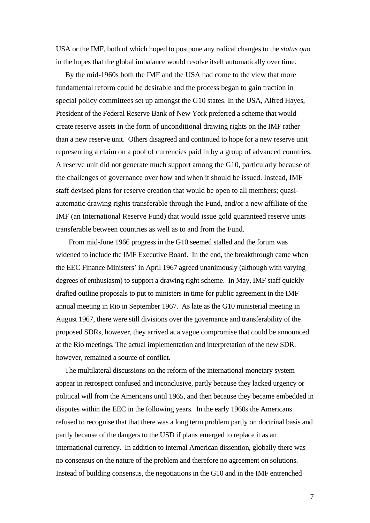USA or the IMF, both of which hoped to postpone any radical changes to the *status quo* in the hopes that the global imbalance would resolve itself automatically over time.

 By the mid-1960s both the IMF and the USA had come to the view that more fundamental reform could be desirable and the process began to gain traction in special policy committees set up amongst the G10 states. In the USA, Alfred Hayes, President of the Federal Reserve Bank of New York preferred a scheme that would create reserve assets in the form of unconditional drawing rights on the IMF rather than a new reserve unit. Others disagreed and continued to hope for a new reserve unit representing a claim on a pool of currencies paid in by a group of advanced countries. A reserve unit did not generate much support among the G10, particularly because of the challenges of governance over how and when it should be issued. Instead, IMF staff devised plans for reserve creation that would be open to all members; quasiautomatic drawing rights transferable through the Fund, and/or a new affiliate of the IMF (an International Reserve Fund) that would issue gold guaranteed reserve units transferable between countries as well as to and from the Fund.

 From mid-June 1966 progress in the G10 seemed stalled and the forum was widened to include the IMF Executive Board. In the end, the breakthrough came when the EEC Finance Ministers' in April 1967 agreed unanimously (although with varying degrees of enthusiasm) to support a drawing right scheme. In May, IMF staff quickly drafted outline proposals to put to ministers in time for public agreement in the IMF annual meeting in Rio in September 1967. As late as the G10 ministerial meeting in August 1967, there were still divisions over the governance and transferability of the proposed SDRs, however, they arrived at a vague compromise that could be announced at the Rio meetings. The actual implementation and interpretation of the new SDR, however, remained a source of conflict.

 The multilateral discussions on the reform of the international monetary system appear in retrospect confused and inconclusive, partly because they lacked urgency or political will from the Americans until 1965, and then because they became embedded in disputes within the EEC in the following years. In the early 1960s the Americans refused to recognise that that there was a long term problem partly on doctrinal basis and partly because of the dangers to the USD if plans emerged to replace it as an international currency. In addition to internal American dissention, globally there was no consensus on the nature of the problem and therefore no agreement on solutions. Instead of building consensus, the negotiations in the G10 and in the IMF entrenched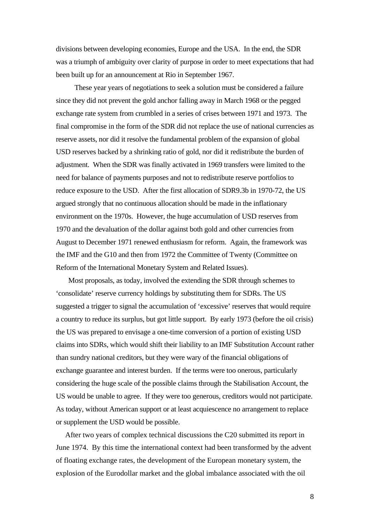divisions between developing economies, Europe and the USA. In the end, the SDR was a triumph of ambiguity over clarity of purpose in order to meet expectations that had been built up for an announcement at Rio in September 1967.

These year years of negotiations to seek a solution must be considered a failure since they did not prevent the gold anchor falling away in March 1968 or the pegged exchange rate system from crumbled in a series of crises between 1971 and 1973. The final compromise in the form of the SDR did not replace the use of national currencies as reserve assets, nor did it resolve the fundamental problem of the expansion of global USD reserves backed by a shrinking ratio of gold, nor did it redistribute the burden of adjustment. When the SDR was finally activated in 1969 transfers were limited to the need for balance of payments purposes and not to redistribute reserve portfolios to reduce exposure to the USD. After the first allocation of SDR9.3b in 1970-72, the US argued strongly that no continuous allocation should be made in the inflationary environment on the 1970s. However, the huge accumulation of USD reserves from 1970 and the devaluation of the dollar against both gold and other currencies from August to December 1971 renewed enthusiasm for reform. Again, the framework was the IMF and the G10 and then from 1972 the Committee of Twenty (Committee on Reform of the International Monetary System and Related Issues).

 Most proposals, as today, involved the extending the SDR through schemes to 'consolidate' reserve currency holdings by substituting them for SDRs. The US suggested a trigger to signal the accumulation of 'excessive' reserves that would require a country to reduce its surplus, but got little support. By early 1973 (before the oil crisis) the US was prepared to envisage a one-time conversion of a portion of existing USD claims into SDRs, which would shift their liability to an IMF Substitution Account rather than sundry national creditors, but they were wary of the financial obligations of exchange guarantee and interest burden. If the terms were too onerous, particularly considering the huge scale of the possible claims through the Stabilisation Account, the US would be unable to agree. If they were too generous, creditors would not participate. As today, without American support or at least acquiescence no arrangement to replace or supplement the USD would be possible.

 After two years of complex technical discussions the C20 submitted its report in June 1974. By this time the international context had been transformed by the advent of floating exchange rates, the development of the European monetary system, the explosion of the Eurodollar market and the global imbalance associated with the oil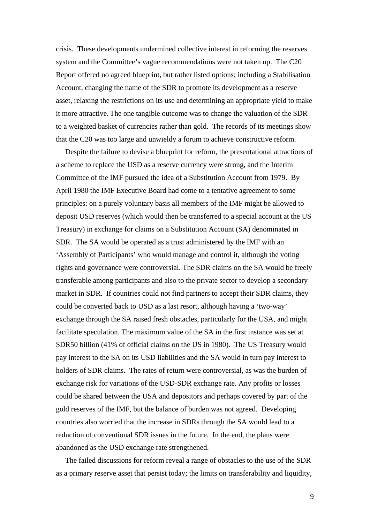crisis. These developments undermined collective interest in reforming the reserves system and the Committee's vague recommendations were not taken up. The C20 Report offered no agreed blueprint, but rather listed options; including a Stabilisation Account, changing the name of the SDR to promote its development as a reserve asset, relaxing the restrictions on its use and determining an appropriate yield to make it more attractive. The one tangible outcome was to change the valuation of the SDR to a weighted basket of currencies rather than gold. The records of its meetings show that the C20 was too large and unwieldy a forum to achieve constructive reform.

 Despite the failure to devise a blueprint for reform, the presentational attractions of a scheme to replace the USD as a reserve currency were strong, and the Interim Committee of the IMF pursued the idea of a Substitution Account from 1979. By April 1980 the IMF Executive Board had come to a tentative agreement to some principles: on a purely voluntary basis all members of the IMF might be allowed to deposit USD reserves (which would then be transferred to a special account at the US Treasury) in exchange for claims on a Substitution Account (SA) denominated in SDR. The SA would be operated as a trust administered by the IMF with an 'Assembly of Participants' who would manage and control it, although the voting rights and governance were controversial. The SDR claims on the SA would be freely transferable among participants and also to the private sector to develop a secondary market in SDR. If countries could not find partners to accept their SDR claims, they could be converted back to USD as a last resort, although having a 'two-way' exchange through the SA raised fresh obstacles, particularly for the USA, and might facilitate speculation. The maximum value of the SA in the first instance was set at SDR50 billion (41% of official claims on the US in 1980). The US Treasury would pay interest to the SA on its USD liabilities and the SA would in turn pay interest to holders of SDR claims. The rates of return were controversial, as was the burden of exchange risk for variations of the USD-SDR exchange rate. Any profits or losses could be shared between the USA and depositors and perhaps covered by part of the gold reserves of the IMF, but the balance of burden was not agreed. Developing countries also worried that the increase in SDRs through the SA would lead to a reduction of conventional SDR issues in the future. In the end, the plans were abandoned as the USD exchange rate strengthened.

 The failed discussions for reform reveal a range of obstacles to the use of the SDR as a primary reserve asset that persist today; the limits on transferability and liquidity,